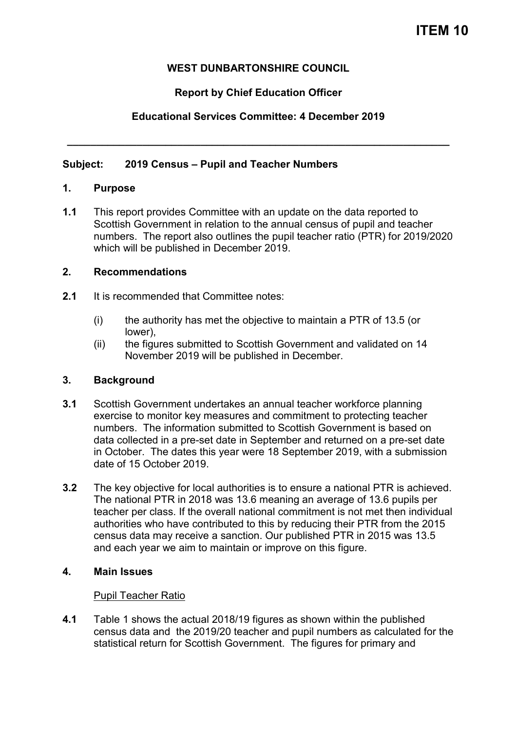## **WEST DUNBARTONSHIRE COUNCIL**

## **Report by Chief Education Officer**

# **Educational Services Committee: 4 December 2019**

**\_\_\_\_\_\_\_\_\_\_\_\_\_\_\_\_\_\_\_\_\_\_\_\_\_\_\_\_\_\_\_\_\_\_\_\_\_\_\_\_\_\_\_\_\_\_\_\_\_\_\_\_\_\_\_\_\_\_\_\_\_\_\_\_\_\_** 

### **Subject: 2019 Census – Pupil and Teacher Numbers**

#### **1. Purpose**

**1.1** This report provides Committee with an update on the data reported to Scottish Government in relation to the annual census of pupil and teacher numbers. The report also outlines the pupil teacher ratio (PTR) for 2019/2020 which will be published in December 2019.

### **2. Recommendations**

- **2.1** It is recommended that Committee notes:
	- (i) the authority has met the objective to maintain a PTR of 13.5 (or lower),
	- (ii) the figures submitted to Scottish Government and validated on 14 November 2019 will be published in December.

## **3. Background**

- **3.1** Scottish Government undertakes an annual teacher workforce planning exercise to monitor key measures and commitment to protecting teacher numbers. The information submitted to Scottish Government is based on data collected in a pre-set date in September and returned on a pre-set date in October. The dates this year were 18 September 2019, with a submission date of 15 October 2019.
- **3.2** The key objective for local authorities is to ensure a national PTR is achieved. The national PTR in 2018 was 13.6 meaning an average of 13.6 pupils per teacher per class. If the overall national commitment is not met then individual authorities who have contributed to this by reducing their PTR from the 2015 census data may receive a sanction. Our published PTR in 2015 was 13.5 and each year we aim to maintain or improve on this figure.

## **4. Main Issues**

## Pupil Teacher Ratio

**4.1** Table 1 shows the actual 2018/19 figures as shown within the published census data and the 2019/20 teacher and pupil numbers as calculated for the statistical return for Scottish Government. The figures for primary and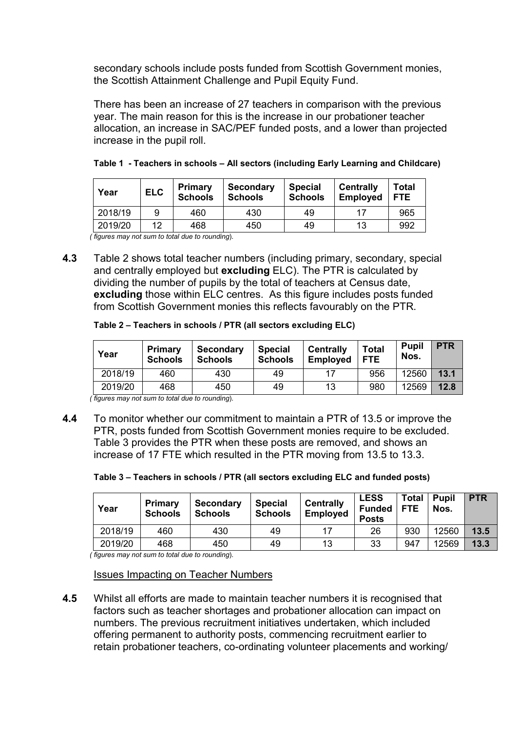secondary schools include posts funded from Scottish Government monies, the Scottish Attainment Challenge and Pupil Equity Fund.

There has been an increase of 27 teachers in comparison with the previous year. The main reason for this is the increase in our probationer teacher allocation, an increase in SAC/PEF funded posts, and a lower than projected increase in the pupil roll.

| Year    | <b>ELC</b> | <b>Primary</b><br><b>Schools</b> | <b>Secondary</b><br><b>Schools</b> | <b>Special</b><br><b>Schools</b> | <b>Centrally</b><br><b>Employed</b> | Total<br><b>FTE</b> |
|---------|------------|----------------------------------|------------------------------------|----------------------------------|-------------------------------------|---------------------|
| 2018/19 | 9          | 460                              | 430                                | 49                               | 17                                  | 965                 |
| 2019/20 | 1つ         | 468                              | 450                                | 49                               | 13                                  | 992                 |

|  | Table 1 - Teachers in schools - All sectors (including Early Learning and Childcare) |  |
|--|--------------------------------------------------------------------------------------|--|
|--|--------------------------------------------------------------------------------------|--|

 *( figures may not sum to total due to rounding*).

**4.3** Table 2 shows total teacher numbers (including primary, secondary, special and centrally employed but **excluding** ELC). The PTR is calculated by dividing the number of pupils by the total of teachers at Census date, **excluding** those within ELC centres. As this figure includes posts funded from Scottish Government monies this reflects favourably on the PTR.

| Table 2 – Teachers in schools / PTR (all sectors excluding ELC) |  |  |
|-----------------------------------------------------------------|--|--|
|                                                                 |  |  |

| Year    | Primary<br><b>Schools</b> | <b>Secondary</b><br><b>Schools</b> | <b>Special</b><br><b>Schools</b> | <b>Centrally</b><br><b>Employed</b> | <b>Total</b><br><b>FTE</b> | <b>Pupil</b><br>Nos. | <b>PTR</b> |
|---------|---------------------------|------------------------------------|----------------------------------|-------------------------------------|----------------------------|----------------------|------------|
| 2018/19 | 460                       | 430                                | 49                               | 17                                  | 956                        | 12560                | 13.1       |
| 2019/20 | 468                       | 450                                | 49                               | 13                                  | 980                        | 12569                | 12.8       |

 *( figures may not sum to total due to rounding*).

**4.4** To monitor whether our commitment to maintain a PTR of 13.5 or improve the PTR, posts funded from Scottish Government monies require to be excluded. Table 3 provides the PTR when these posts are removed, and shows an increase of 17 FTE which resulted in the PTR moving from 13.5 to 13.3.

| Table 3 – Teachers in schools / PTR (all sectors excluding ELC and funded posts) |  |  |
|----------------------------------------------------------------------------------|--|--|
|----------------------------------------------------------------------------------|--|--|

| Year    | <b>Primary</b><br><b>Schools</b> | Secondary<br><b>Schools</b> | <b>Special</b><br><b>Schools</b> | <b>Centrally</b><br><b>Employed</b> | <b>LESS</b><br><b>Funded</b><br><b>Posts</b> | <b>Total</b><br><b>FTE</b> | <b>Pupil</b><br>Nos. | <b>PTR</b> |
|---------|----------------------------------|-----------------------------|----------------------------------|-------------------------------------|----------------------------------------------|----------------------------|----------------------|------------|
| 2018/19 | 460                              | 430                         | 49                               |                                     | 26                                           | 930                        | 12560                | 13.5       |
| 2019/20 | 468                              | 450                         | 49                               | 13                                  | 33                                           | 947                        | 12569                | 13.3       |

 *( figures may not sum to total due to rounding*).

Issues Impacting on Teacher Numbers

**4.5** Whilst all efforts are made to maintain teacher numbers it is recognised that factors such as teacher shortages and probationer allocation can impact on numbers. The previous recruitment initiatives undertaken, which included offering permanent to authority posts, commencing recruitment earlier to retain probationer teachers, co-ordinating volunteer placements and working/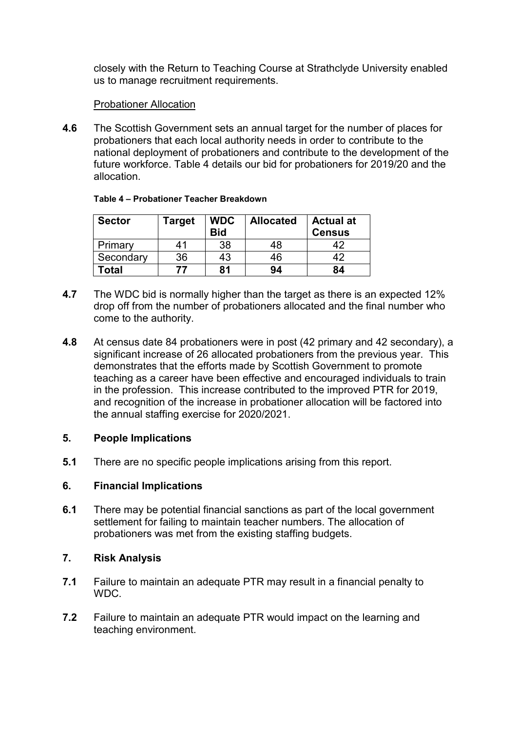closely with the Return to Teaching Course at Strathclyde University enabled us to manage recruitment requirements.

### Probationer Allocation

**4.6** The Scottish Government sets an annual target for the number of places for probationers that each local authority needs in order to contribute to the national deployment of probationers and contribute to the development of the future workforce. Table 4 details our bid for probationers for 2019/20 and the allocation.

| <b>Sector</b> | Target | <b>WDC</b><br><b>Bid</b> | <b>Allocated</b> | <b>Actual at</b><br><b>Census</b> |
|---------------|--------|--------------------------|------------------|-----------------------------------|
| Primary       | 41     | 38                       | 48               | 42                                |
| Secondary     | 36     | 43                       | 46               | 12                                |
| <b>c</b> otal |        | 81                       | 94               | 84                                |

#### **Table 4 – Probationer Teacher Breakdown**

- **4.7** The WDC bid is normally higher than the target as there is an expected 12% drop off from the number of probationers allocated and the final number who come to the authority.
- **4.8** At census date 84 probationers were in post (42 primary and 42 secondary), a significant increase of 26 allocated probationers from the previous year. This demonstrates that the efforts made by Scottish Government to promote teaching as a career have been effective and encouraged individuals to train in the profession. This increase contributed to the improved PTR for 2019, and recognition of the increase in probationer allocation will be factored into the annual staffing exercise for 2020/2021.

#### **5. People Implications**

**5.1** There are no specific people implications arising from this report.

#### **6. Financial Implications**

**6.1** There may be potential financial sanctions as part of the local government settlement for failing to maintain teacher numbers. The allocation of probationers was met from the existing staffing budgets.

#### **7. Risk Analysis**

- **7.1** Failure to maintain an adequate PTR may result in a financial penalty to WDC.
- **7.2** Failure to maintain an adequate PTR would impact on the learning and teaching environment.